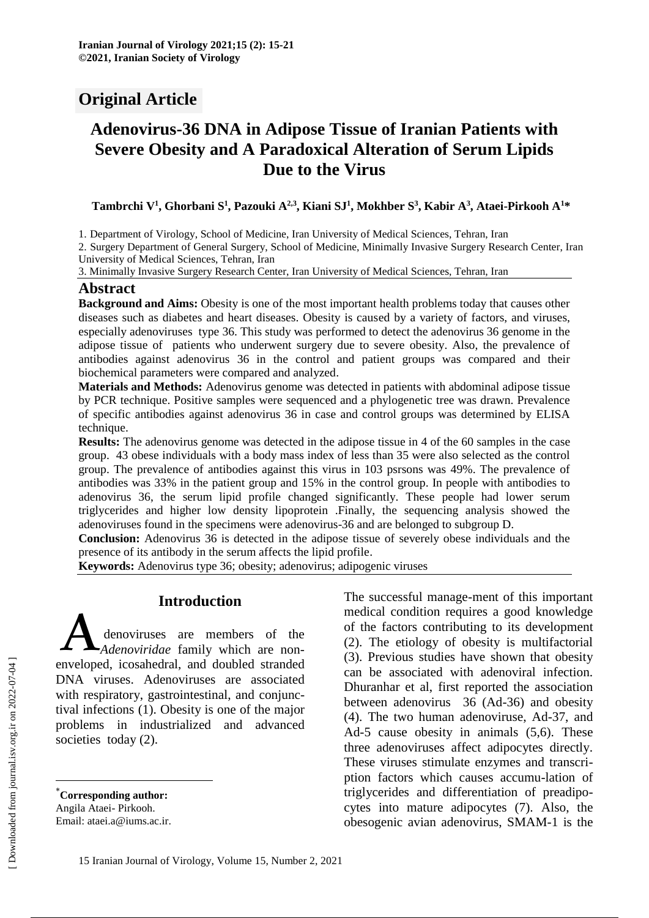# **Original Article**

# **Adenovirus-36 DNA in Adipose Tissue of Iranian Patients with Severe Obesity and A Paradoxical Alteration of Serum Lipids Due to the Virus**

Tambrchi V<sup>1</sup>, Ghorbani S<sup>1</sup>, Pazouki A<sup>2,3</sup>, Kiani SJ<sup>1</sup>, Mokhber S<sup>3</sup>, Kabir A<sup>3</sup>, Ataei-Pirkooh A<sup>1</sup>\*

1. Department of Virology, School of Medicine, Iran University of Medical Sciences, Tehran, Iran

2. Surgery Department of General Surgery, School of Medicine, Minimally Invasive Surgery Research Center, Iran University of Medical Sciences, Tehran, Iran

3. Minimally Invasive Surgery Research Center, Iran University of Medical Sciences, Tehran, Iran

#### **Abstract**

**Background and Aims:** Obesity is one of the most important health problems today that causes other diseases such as diabetes and heart diseases. Obesity is caused by a variety of factors, and viruses, especially adenoviruses type 36. This study was performed to detect the adenovirus 36 genome in the adipose tissue of patients who underwent surgery due to severe obesity. Also, the prevalence of antibodies against adenovirus 36 in the control and patient groups was compared and their biochemical parameters were compared and analyzed.

**Materials and Methods:** Adenovirus genome was detected in patients with abdominal adipose tissue by PCR technique. Positive samples were sequenced and a phylogenetic tree was drawn. Prevalence of specific antibodies against adenovirus 36 in case and control groups was determined by ELISA technique.

**Results:** The adenovirus genome was detected in the adipose tissue in 4 of the 60 samples in the case group. 43 obese individuals with a body mass index of less than 35 were also selected as the control group. The prevalence of antibodies against this virus in 103 psrsons was 49%. The prevalence of antibodies was 33% in the patient group and 15% in the control group. In people with antibodies to adenovirus 36, the serum lipid profile changed significantly. These people had lower serum triglycerides and higher low density lipoprotein .Finally, the sequencing analysis showed the adenoviruses found in the specimens were adenovirus-36 and are belonged to subgroup D.

**Conclusion:** Adenovirus 36 is detected in the adipose tissue of severely obese individuals and the presence of its antibody in the serum affects the lipid profile.

**Keywords:** Adenovirus type 36; obesity; adenovirus; adipogenic viruses

#### **Introduction\***

denoviruses are members of the *Adenoviridae* family which are non-**Example 13**<br> **A** denoviruses are members of the<br> *Adenoviridae* family which are non-<br>
enveloped, icosahedral, and doubled stranded DNA viruses. Adenoviruses are associated with respiratory, gastrointestinal, and conjunctival infections (1). Obesity is one of the major problems in industrialized and advanced societies today (2).

Email: ataei.a@iums.ac.ir.

The successful manage-ment of this important medical condition requires a good knowledge of the factors contributing to its development (2). The etiology of obesity is multifactorial (3). Previous studies have shown that obesity can be associated with adenoviral infection. Dhuranhar et al, first reported the association between adenovirus 36 (Ad-36) and obesity (4). The two human adenoviruse, Ad-37, and Ad-5 cause obesity in animals (5,6). These three adenoviruses affect adipocytes directly. These viruses stimulate enzymes and transcription factors which causes accumu-lation of triglycerides and differentiation of preadipocytes into mature adipocytes (7). Also, the obesogenic avian adenovirus, SMAM-1 is the

 $\overline{a}$ 

<sup>\*</sup>**Corresponding author:**

Angila Ataei- Pirkooh.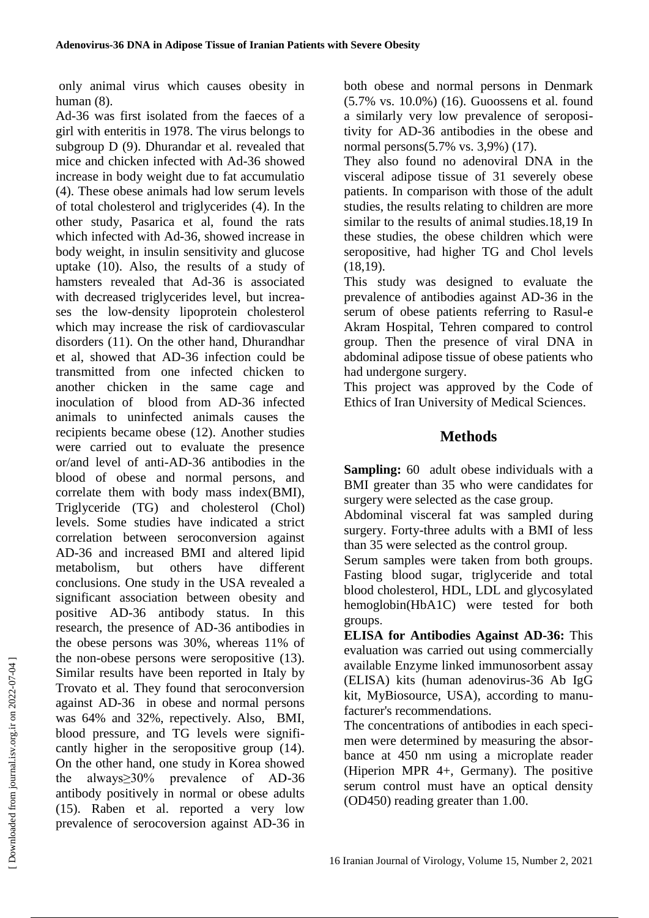only animal virus which causes obesity in human (8).

Ad-36 was first isolated from the faeces of a girl with enteritis in 1978. The virus belongs to subgroup D (9). Dhurandar et al. revealed that mice and chicken infected with Ad-36 showed increase in body weight due to fat accumulatio (4). These obese animals had low serum levels of total cholesterol and triglycerides (4). In the other study, Pasarica et al, found the rats which infected with Ad-36, showed increase in body weight, in insulin sensitivity and glucose uptake (10). Also, the results of a study of hamsters revealed that Ad-36 is associated with decreased triglycerides level, but increases the low-density lipoprotein cholesterol which may increase the risk of cardiovascular disorders (11). On the other hand, Dhurandhar et al, showed that AD-36 infection could be transmitted from one infected chicken to another chicken in the same cage and inoculation of blood from AD-36 infected animals to uninfected animals causes the recipients became obese (12). Another studies were carried out to evaluate the presence or/and level of anti-AD-36 antibodies in the blood of obese and normal persons, and correlate them with body mass index(BMI), Triglyceride (TG) and cholesterol (Chol) levels. Some studies have indicated a strict correlation between seroconversion against AD-36 and increased BMI and altered lipid metabolism, but others have different conclusions. One study in the USA revealed a significant association between obesity and positive AD-36 antibody status. In this research, the presence of AD-36 antibodies in the obese persons was 30%, whereas 11% of the non-obese persons were seropositive (13). Similar results have been reported in Italy by Trovato et al. They found that seroconversion against AD-36 in obese and normal persons was 64% and 32%, repectively. Also, BMI, blood pressure, and TG levels were significantly higher in the seropositive group (14). On the other hand, one study in Korea showed the always≥30% prevalence of AD-36 antibody positively in normal or obese adults (15). Raben et al. reported a very low prevalence of serocoversion against AD-36 in

both obese and normal persons in Denmark (5.7% vs. 10.0%) (16). Guoossens et al. found a similarly very low prevalence of seropositivity for AD-36 antibodies in the obese and normal persons(5.7% vs. 3,9%) (17).

They also found no adenoviral DNA in the visceral adipose tissue of 31 severely obese patients. In comparison with those of the adult studies, the results relating to children are more similar to the results of animal studies.18,19 In these studies, the obese children which were seropositive, had higher TG and Chol levels (18,19).

This study was designed to evaluate the prevalence of antibodies against AD-36 in the serum of obese patients referring to Rasul-e Akram Hospital, Tehren compared to control group. Then the presence of viral DNA in abdominal adipose tissue of obese patients who had undergone surgery.

This project was approved by the Code of Ethics of Iran University of Medical Sciences.

## **Methods**

**Sampling:** 60 adult obese individuals with a BMI greater than 35 who were candidates for surgery were selected as the case group.

Abdominal visceral fat was sampled during surgery. Forty-three adults with a BMI of less than 35 were selected as the control group.

Serum samples were taken from both groups. Fasting blood sugar, triglyceride and total blood cholesterol, HDL, LDL and glycosylated hemoglobin(HbA1C) were tested for both groups.

**ELISA for Antibodies Against AD-36:** This evaluation was carried out using commercially available Enzyme linked immunosorbent assay (ELISA) kits (human adenovirus-36 Ab IgG kit, MyBiosource, USA), according to manufacturer's recommendations.

The concentrations of antibodies in each specimen were determined by measuring the absorbance at 450 nm using a microplate reader (Hiperion MPR 4+, Germany). The positive serum control must have an optical density (OD450) reading greater than 1.00.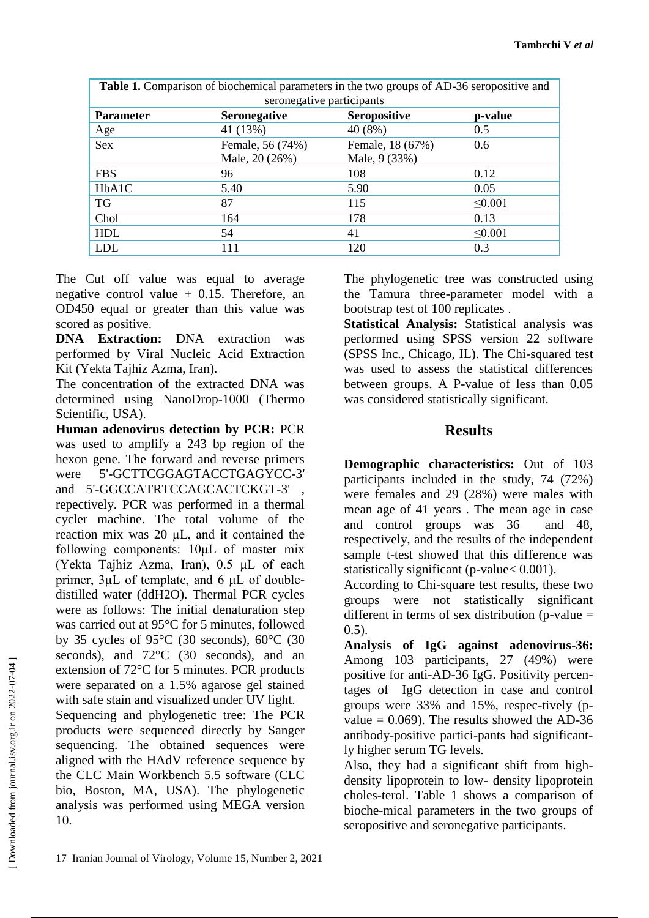| <b>Table 1.</b> Comparison of biochemical parameters in the two groups of AD-36 seropositive and |                     |                     |              |
|--------------------------------------------------------------------------------------------------|---------------------|---------------------|--------------|
| seronegative participants                                                                        |                     |                     |              |
| <b>Parameter</b>                                                                                 | <b>Seronegative</b> | <b>Seropositive</b> | p-value      |
| Age                                                                                              | 41 (13%)            | 40(8%)              | 0.5          |
| Sex                                                                                              | Female, 56 (74%)    | Female, 18 (67%)    | 0.6          |
|                                                                                                  | Male, 20 (26%)      | Male, 9 (33%)       |              |
| <b>FBS</b>                                                                                       | 96                  | 108                 | 0.12         |
| HbA1C                                                                                            | 5.40                | 5.90                | 0.05         |
| <b>TG</b>                                                                                        | 87                  | 115                 | $\leq 0.001$ |
| Chol                                                                                             | 164                 | 178                 | 0.13         |
| <b>HDL</b>                                                                                       | 54                  | 41                  | $\leq 0.001$ |
| <b>LDL</b>                                                                                       | 111                 | 120                 | 0.3          |

The Cut off value was equal to average negative control value  $+$  0.15. Therefore, an OD450 equal or greater than this value was scored as positive.

**DNA Extraction:** DNA extraction was performed by Viral Nucleic Acid Extraction Kit (Yekta Tajhiz Azma, Iran).

The concentration of the extracted DNA was determined using NanoDrop-1000 (Thermo Scientific, USA).

**Human adenovirus detection by PCR:** PCR was used to amplify a 243 bp region of the hexon gene. The forward and reverse primers were 5'-GCTTCGGAGTACCTGAGYCC-3' and 5'-GGCCATRTCCAGCACTCKGT-3' repectively. PCR was performed in a thermal cycler machine. The total volume of the reaction mix was 20 μL, and it contained the following components: 10μL of master mix (Yekta Tajhiz Azma, Iran), 0.5 μL of each primer, 3μL of template, and 6 μL of doubledistilled water (ddH2O). Thermal PCR cycles were as follows: The initial denaturation step was carried out at 95°C for 5 minutes, followed by 35 cycles of 95°C (30 seconds), 60°C (30 seconds), and 72<sup>o</sup>C (30 seconds), and an extension of 72°C for 5 minutes. PCR products were separated on a 1.5% agarose gel stained with safe stain and visualized under UV light.

Sequencing and phylogenetic tree: The PCR products were sequenced directly by Sanger sequencing. The obtained sequences were aligned with the HAdV reference sequence by the CLC Main Workbench 5.5 software (CLC bio, Boston, MA, USA). The phylogenetic analysis was performed using MEGA version 10.

The phylogenetic tree was constructed using the Tamura three-parameter model with a bootstrap test of 100 replicates .

**Statistical Analysis:** Statistical analysis was performed using SPSS version 22 software (SPSS Inc., Chicago, IL). The Chi-squared test was used to assess the statistical differences between groups. A P-value of less than 0.05 was considered statistically significant.

## **Results**

**Demographic characteristics:** Out of 103 participants included in the study, 74 (72%) were females and 29 (28%) were males with mean age of 41 years . The mean age in case and control groups was 36 and 48, respectively, and the results of the independent sample t-test showed that this difference was statistically significant (p-value< 0.001).

According to Chi-square test results, these two groups were not statistically significant different in terms of sex distribution (p-value  $=$  $(0.5)$ .

**Analysis of IgG against adenovirus-36:** Among 103 participants, 27 (49%) were positive for anti-AD-36 IgG. Positivity percentages of IgG detection in case and control groups were 33% and 15%, respec-tively (pvalue  $= 0.069$ ). The results showed the AD-36 antibody-positive partici-pants had significantly higher serum TG levels.

Also, they had a significant shift from highdensity lipoprotein to low- density lipoprotein choles-terol. Table 1 shows a comparison of bioche-mical parameters in the two groups of seropositive and seronegative participants.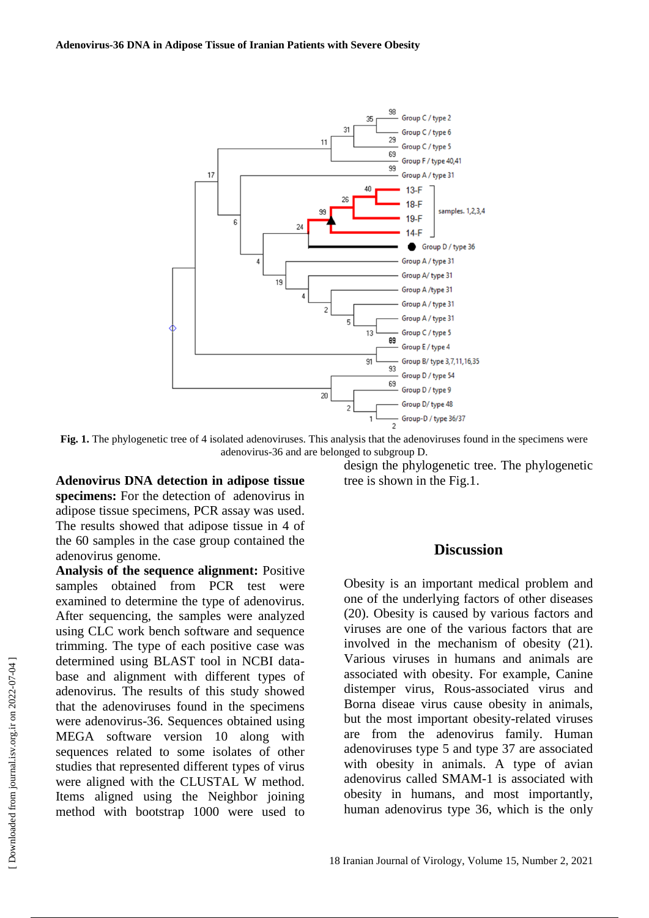

**Fig. 1.** The phylogenetic tree of 4 isolated adenoviruses. This analysis that the adenoviruses found in the specimens were adenovirus-36 and are belonged to subgroup D.

**Adenovirus DNA detection in adipose tissue specimens:** For the detection of adenovirus in adipose tissue specimens, PCR assay was used. The results showed that adipose tissue in 4 of the 60 samples in the case group contained the adenovirus genome.

**Analysis of the sequence alignment:** Positive samples obtained from PCR test were examined to determine the type of adenovirus. After sequencing, the samples were analyzed using CLC work bench software and sequence trimming. The type of each positive case was determined using BLAST tool in NCBI database and alignment with different types of adenovirus. The results of this study showed that the adenoviruses found in the specimens were adenovirus-36. Sequences obtained using MEGA software version 10 along with sequences related to some isolates of other studies that represented different types of virus were aligned with the CLUSTAL W method. Items aligned using the Neighbor joining method with bootstrap 1000 were used to

design the phylogenetic tree. The phylogenetic tree is shown in the Fig.1.

#### **Discussion**

Obesity is an important medical problem and one of the underlying factors of other diseases (20). Obesity is caused by various factors and viruses are one of the various factors that are involved in the mechanism of obesity (21). Various viruses in humans and animals are associated with obesity. For example, Canine distemper virus, Rous-associated virus and Borna diseae virus cause obesity in animals, but the most important obesity-related viruses are from the adenovirus family. Human adenoviruses type 5 and type 37 are associated with obesity in animals. A type of avian adenovirus called SMAM-1 is associated with obesity in humans, and most importantly, human adenovirus type 36, which is the only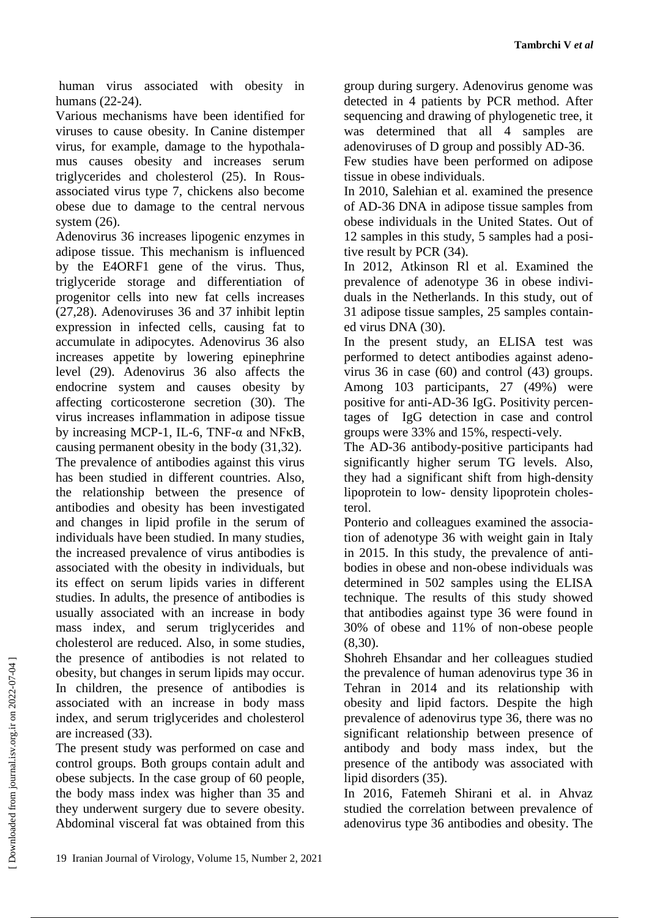human virus associated with obesity in humans (22-24).

Various mechanisms have been identified for viruses to cause obesity. In Canine distemper virus, for example, damage to the hypothalamus causes obesity and increases serum triglycerides and cholesterol (25). In Rousassociated virus type 7, chickens also become obese due to damage to the central nervous system  $(26)$ .

Adenovirus 36 increases lipogenic enzymes in adipose tissue. This mechanism is influenced by the E4ORF1 gene of the virus. Thus, triglyceride storage and differentiation of progenitor cells into new fat cells increases (27,28). Adenoviruses 36 and 37 inhibit leptin expression in infected cells, causing fat to accumulate in adipocytes. Adenovirus 36 also increases appetite by lowering epinephrine level (29). Adenovirus 36 also affects the endocrine system and causes obesity by affecting corticosterone secretion (30). The virus increases inflammation in adipose tissue by increasing MCP-1, IL-6, TNF- $\alpha$  and NF $\kappa$ B, causing permanent obesity in the body (31,32). The prevalence of antibodies against this virus has been studied in different countries. Also, the relationship between the presence of antibodies and obesity has been investigated and changes in lipid profile in the serum of individuals have been studied. In many studies, the increased prevalence of virus antibodies is associated with the obesity in individuals, but its effect on serum lipids varies in different studies. In adults, the presence of antibodies is usually associated with an increase in body mass index, and serum triglycerides and cholesterol are reduced. Also, in some studies, the presence of antibodies is not related to obesity, but changes in serum lipids may occur. In children, the presence of antibodies is associated with an increase in body mass index, and serum triglycerides and cholesterol are increased (33).

The present study was performed on case and control groups. Both groups contain adult and obese subjects. In the case group of 60 people, the body mass index was higher than 35 and they underwent surgery due to severe obesity. Abdominal visceral fat was obtained from this

group during surgery. Adenovirus genome was detected in 4 patients by PCR method. After sequencing and drawing of phylogenetic tree, it was determined that all 4 samples are adenoviruses of D group and possibly AD-36.

Few studies have been performed on adipose tissue in obese individuals.

In 2010, Salehian et al. examined the presence of AD-36 DNA in adipose tissue samples from obese individuals in the United States. Out of 12 samples in this study, 5 samples had a positive result by PCR (34).

In 2012, Atkinson Rl et al. Examined the prevalence of adenotype 36 in obese individuals in the Netherlands. In this study, out of 31 adipose tissue samples, 25 samples contained virus DNA (30).

In the present study, an ELISA test was performed to detect antibodies against adenovirus 36 in case (60) and control (43) groups. Among 103 participants, 27 (49%) were positive for anti-AD-36 IgG. Positivity percentages of IgG detection in case and control groups were 33% and 15%, respecti-vely.

The AD-36 antibody-positive participants had significantly higher serum TG levels. Also, they had a significant shift from high-density lipoprotein to low- density lipoprotein cholesterol.

Ponterio and colleagues examined the association of adenotype 36 with weight gain in Italy in 2015. In this study, the prevalence of antibodies in obese and non-obese individuals was determined in 502 samples using the ELISA technique. The results of this study showed that antibodies against type 36 were found in 30% of obese and 11% of non-obese people (8,30).

Shohreh Ehsandar and her colleagues studied the prevalence of human adenovirus type 36 in Tehran in 2014 and its relationship with obesity and lipid factors. Despite the high prevalence of adenovirus type 36, there was no significant relationship between presence of antibody and body mass index, but the presence of the antibody was associated with lipid disorders (35).

In 2016, Fatemeh Shirani et al. in Ahvaz studied the correlation between prevalence of adenovirus type 36 antibodies and obesity. The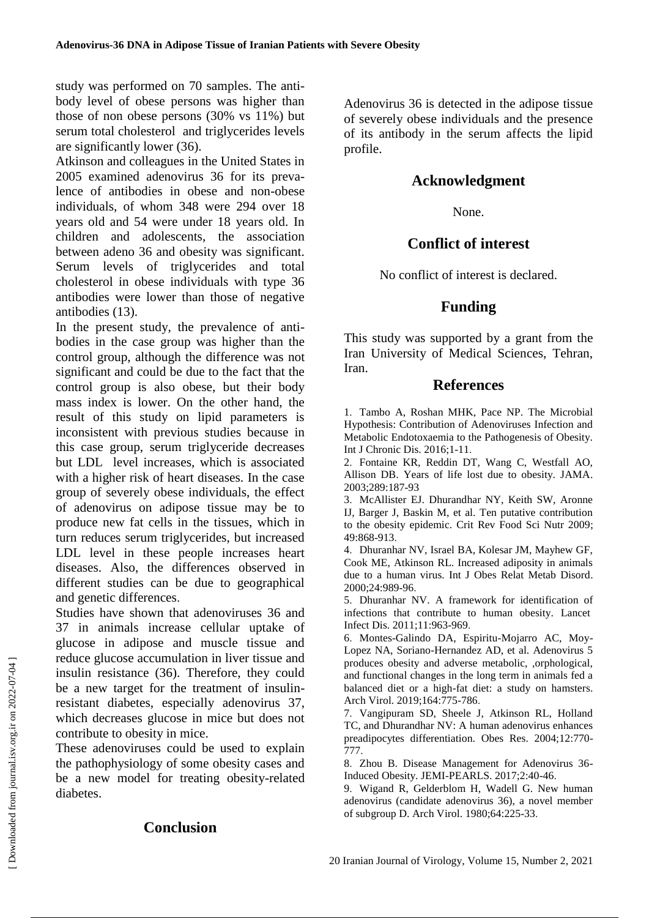study was performed on 70 samples. The antibody level of obese persons was higher than those of non obese persons (30% vs 11%) but serum total cholesterol and triglycerides levels are significantly lower (36).

Atkinson and colleagues in the United States in 2005 examined adenovirus 36 for its prevalence of antibodies in obese and non-obese individuals, of whom 348 were 294 over 18 years old and 54 were under 18 years old. In children and adolescents, the association between adeno 36 and obesity was significant. Serum levels of triglycerides and total cholesterol in obese individuals with type 36 antibodies were lower than those of negative antibodies (13).

In the present study, the prevalence of antibodies in the case group was higher than the control group, although the difference was not significant and could be due to the fact that the control group is also obese, but their body mass index is lower. On the other hand, the result of this study on lipid parameters is inconsistent with previous studies because in this case group, serum triglyceride decreases but LDL level increases, which is associated with a higher risk of heart diseases. In the case group of severely obese individuals, the effect of adenovirus on adipose tissue may be to produce new fat cells in the tissues, which in turn reduces serum triglycerides, but increased LDL level in these people increases heart diseases. Also, the differences observed in different studies can be due to geographical and genetic differences.

Studies have shown that adenoviruses 36 and 37 in animals increase cellular uptake of glucose in adipose and muscle tissue and reduce glucose accumulation in liver tissue and insulin resistance (36). Therefore, they could be a new target for the treatment of insulinresistant diabetes, especially adenovirus 37, which decreases glucose in mice but does not contribute to obesity in mice.

These adenoviruses could be used to explain the pathophysiology of some obesity cases and be a new model for treating obesity-related diabetes.

#### **Conclusion**

Adenovirus 36 is detected in the adipose tissue of severely obese individuals and the presence of its antibody in the serum affects the lipid profile.

### **Acknowledgment**

None.

### **Conflict of interest**

No conflict of interest is declared.

#### **Funding**

This study was supported by a grant from the Iran University of Medical Sciences, Tehran, Iran.

#### **References**

1. Tambo A, Roshan MHK, Pace NP. The Microbial Hypothesis: Contribution of Adenoviruses Infection and Metabolic Endotoxaemia to the Pathogenesis of Obesity. Int J Chronic Dis. 2016;1-11.

2. Fontaine KR, Reddin DT, Wang C, Westfall AO, Allison DB. Years of life lost due to obesity. JAMA. 2003;289:187-93

3. McAllister EJ. Dhurandhar NY, Keith SW, Aronne IJ, Barger J, Baskin M, et al. Ten putative contribution to the obesity epidemic. Crit Rev Food Sci Nutr 2009; 49:868-913.

4. Dhuranhar NV, Israel BA, Kolesar JM, Mayhew GF, Cook ME, Atkinson RL. Increased adiposity in animals due to a human virus. Int J Obes Relat Metab Disord. 2000;24:989-96.

5. Dhuranhar NV. A framework for identification of infections that contribute to human obesity. Lancet Infect Dis. 2011;11:963-969.

6. Montes-Galindo DA, Espiritu-Mojarro AC, Moy-Lopez NA, Soriano-Hernandez AD, et al. Adenovirus 5 produces obesity and adverse metabolic, ,orphological, and functional changes in the long term in animals fed a balanced diet or a high-fat diet: a study on hamsters. Arch Virol. 2019;164:775-786.

7. Vangipuram SD, Sheele J, Atkinson RL, Holland TC, and Dhurandhar NV: A human adenovirus enhances preadipocytes differentiation. Obes Res. 2004;12:770- 777.

8. Zhou B. Disease Management for Adenovirus 36- Induced Obesity. JEMI-PEARLS. 2017;2:40-46.

9. Wigand R, Gelderblom H, Wadell G. New human adenovirus (candidate adenovirus 36), a novel member of subgroup D. Arch Virol. 1980;64:225-33.